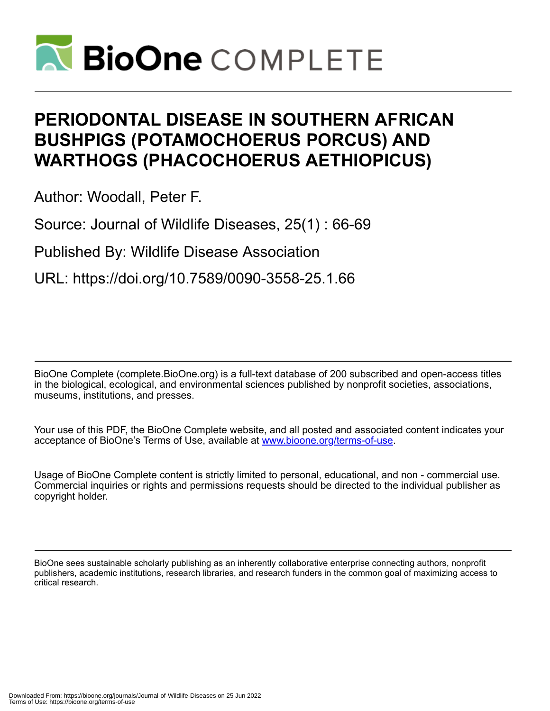

# **PERIODONTAL DISEASE IN SOUTHERN AFRICAN BUSHPIGS (POTAMOCHOERUS PORCUS) AND WARTHOGS (PHACOCHOERUS AETHIOPICUS)**

Author: Woodall, Peter F.

Source: Journal of Wildlife Diseases, 25(1) : 66-69

Published By: Wildlife Disease Association

URL: https://doi.org/10.7589/0090-3558-25.1.66

BioOne Complete (complete.BioOne.org) is a full-text database of 200 subscribed and open-access titles in the biological, ecological, and environmental sciences published by nonprofit societies, associations, museums, institutions, and presses.

Your use of this PDF, the BioOne Complete website, and all posted and associated content indicates your acceptance of BioOne's Terms of Use, available at www.bioone.org/terms-of-use.

Usage of BioOne Complete content is strictly limited to personal, educational, and non - commercial use. Commercial inquiries or rights and permissions requests should be directed to the individual publisher as copyright holder.

BioOne sees sustainable scholarly publishing as an inherently collaborative enterprise connecting authors, nonprofit publishers, academic institutions, research libraries, and research funders in the common goal of maximizing access to critical research.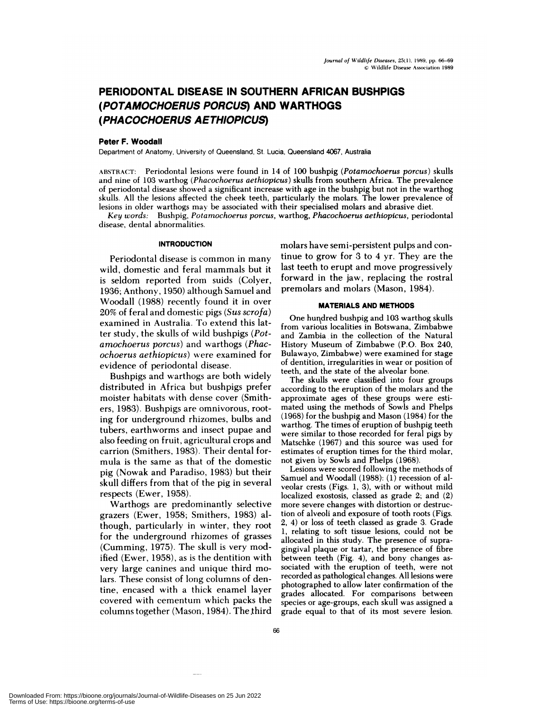## **PERIODONTAL DISEASE IN SOUTHERN AFRICAN BUSHPIGS (POTAMOCHOERUS PORCUS) AND WARTHOGS (PHACOCHOERUS AETHIOPICUS)**

#### **Peter F. Woodall**

Department of Anatomy, University of Queensland, St. Lucia, Queensland 4067, Australia

ABSTRACT: Periodontal lesions were found in 14 of 100 bushpig *(Potamochoerus porcus)* skulls and nine of 103 warthog *(Phacochoerus aethiopicus)* skulls from southern Africa. The prevalence of periodontal disease showed a significant increase with age in the bushpig but not in the warthog skulls. All the lesions affected the cheek teeth, particularly the molars. The lower prevalence of lesions in older warthogs may be associated with their specialised molars and abrasive diet.

*Key words:* Bushpig, *Potamochoerus porcus,* warthog, *Phacochoerus aethiopicus,* periodontal **disease, dental** abnormalities.

#### **INTRODUCTION**

Periodontal disease is common in many wild, domestic and feral mammals but it is seldom reported from suids (Colyer, 1936; Anthony, 1950) although Samuel and Woodall (1988) recently found it in over 20% of feral and domestic pigs *(Sus scrofa)* examined in Australia. To extend this latter study, the skulls of wild bushpigs *(Potamochoerus porcus)* and warthogs *(Phacochoerus aethiopicus)* were examined for evidence of periodontal disease.

Bushpigs and warthogs are both widely distributed in Africa but bushpigs prefer moister habitats with dense cover (Smithers, 1983). Bushpigs are omnivorous, rooting for underground rhizomes, bulbs and tubers, earthworms and insect pupae and also feeding on fruit, agricultural crops and carrion (Smithers, 1983). Their dental formula is the same as that of the domestic pig (Nowak and Paradiso, 1983) but their skull differs from that of the pig in several **respects (Ewer, 1958).**

**Warthogs** are predominantly selective grazers (Ewer, 1958; Smithers, 1983) although, particularly in winter, they root for the underground rhizomes of grasses (Gumming, 1975). The skull is very modified (Ewer, 1958), as is the dentition with very large canines and unique third molars. These consist of long columns of dentine, encased with a thick enamel layer covered with cementum which packs the columns together (Mason, 1984). The third

molars have semi-persistent pulps and continue to grow for 3 to 4 yr. They are the last teeth to erupt and move progressively forward in the jaw, replacing the rostral premolars and molars (Mason, 1984).

#### **MATERIALS AND METHODS**

One hurdred bushpig and 103 warthog skulls from various localities in Botswana, Zimbabwe and Zambia in the collection of the Natural History Museum of Zimbabwe (P.O. Box 240, Bulawayo, Zimbabwe) were examined for stage of dentition, irregularities in wear or position of teeth, and the state of the alveolar bone.

The skulls were classified into four groups according to the eruption of the molars and the approximate ages of these groups were estimated using the methods of Sowls and Phelps (1968) for the bushpig and Mason (1984) for the warthog. The times of eruption of bushpig teeth were similar to those recorded for feral pigs by Matschke (1967) and this source was used for estimates of eruption times for the third molar, not given by Sowls and Phelps (1968).

Lesions were scored following the methods of Samuel and Woodall (1988): (1) recession of alveolar crests (Figs. 1, 3), with or without mild localized exostosis, classed as grade 2; and (2) more severe changes with distortion or destruction of alveoli and exposure of tooth roots (Figs. 2, 4) or loss of teeth classed as grade 3. Grade 1, relating to soft tissue lesions, could not be allocated in this study. The presence of supragingival plaque or tartar, the presence of fibre between teeth (Fig. 4), and bony changes as sociated with the eruption of teeth, were not recorded as pathological changes. All lesions were photographed to allow later confirmation of the grades allocated. For comparisons between species or age-groups, each skull was assigned a grade equal to that of its most severe lesion.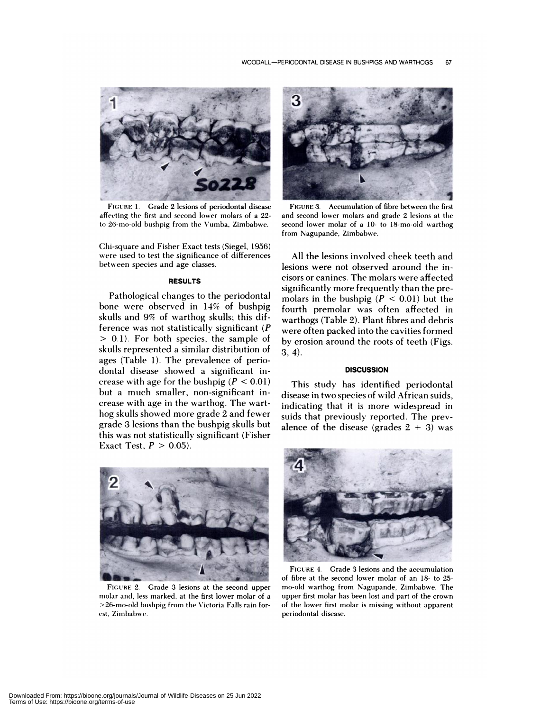

**FIGURE** 1. Grade 2 lesions of periodontal disease affecting the first and second lower molars of a 22 to 26-mo-old bushpig from the Vumba, Zimbabwe.

Chi-square and Fisher Exact tests (Siegel, 1956) were used to test the significance of differences between species and age classes.

### **RESULTS**

Pathological changes to the periodontal bone were observed in 14% of bushpig skulls and 9% of warthog skulls; this difference was not statistically significant *(P* <sup>&</sup>gt; 0.1). For both species, the sample of skulls represented a similar distribution of ages (Table 1). The prevalence of periodontal disease showed a significant in crease with age for the bushpig  $(P < 0.01)$ but a much smaller, non-significant in crease with age in the warthog. The warthog skulls showed more grade 2 and fewer grade 3 lesions than the bushpig skulls but this was not statistically significant (Fisher Exact Test,  $P > 0.05$ ).



FIGURE 3. Accumulation of fibre between the first and second lower molars and grade 2 lesions at the second lower molar of a 10- to 18-mo-old warthog from Nagupande, Zimbabwe.

All the lesions involved cheek teeth and lesions were not observed around the incisors or canines. The molars were affected significantly more frequently than the premolars in the bushpig  $(P < 0.01)$  but the fourth premolar was often affected in warthogs (Table 2). Plant fibres and debris were often packed into the cavities formed by erosion around the roots of teeth (Figs. 3,4).

#### **DISCUSSION**

This study has identified periodontal disease in two species of wild African suids, indicating that it is more widespread in suids that previously reported. The prevalence of the disease (grades  $2 + 3$ ) was



FIGURE 2. Grade 3 lesions at the second upper molar and, less marked, at the first lower molar of a >26-mo-old hushpig from the Victoria Falls rain for est, Zimbabwe.



FIGURE 4. Grade 3 lesions and the accumulation of fibre at the second lower molar of an 18- to 25 mo-old warthog from Nagupande, Zimbabwe. The upper first molar has been lost and part of the crown of the lower first molar is missing without apparent periodontal disease.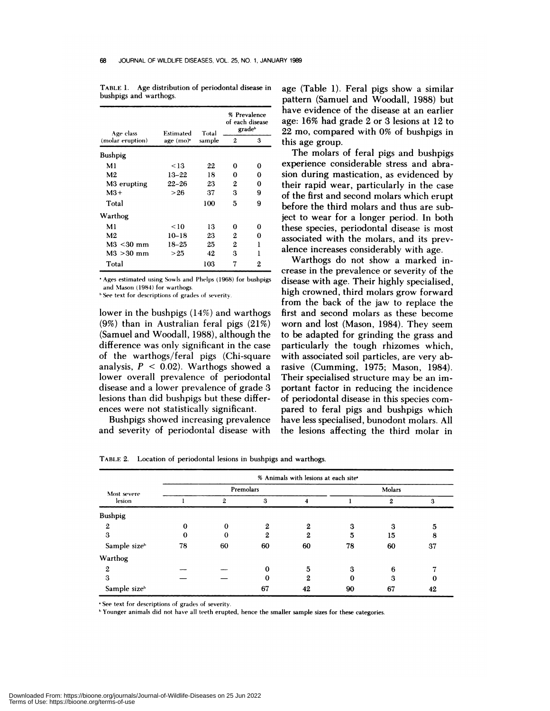| Age class               | Estimated             | Total  | % Prevalence<br>of each disease<br>gradeb |   |
|-------------------------|-----------------------|--------|-------------------------------------------|---|
| (molar eruption)        | age (mo) <sup>*</sup> | sample | 2                                         | 3 |
| <b>Bushpig</b>          |                       |        |                                           |   |
| M1                      | < 13                  | 22     | 0                                         | 0 |
| M <sub>2</sub>          | $13 - 22$             | 18     | 0                                         | 0 |
| M <sub>3</sub> erupting | 22–26                 | 23     | $\mathbf{2}$                              | 0 |
| $M3+$                   | >26                   | 37     | 3                                         | 9 |
| Total                   |                       | 100    | 5                                         | 9 |
| Warthog                 |                       |        |                                           |   |
| M <sub>1</sub>          | < 10                  | 13     | 0                                         | 0 |
| M <sub>2</sub>          | $10 - 18$             | 23     | 2                                         | 0 |
| $M3 < 30$ mm            | 18–25                 | 25     | 2                                         | ı |
| $M3 > 30$ mm            | >25                   | 42     | 3                                         | ı |
| Total                   |                       | 103    | 7                                         | 2 |

TABLE 1. Age distribution of periodontal disease in bushpigs and warthogs.

Ages estimated using Sowls and Phelps (1968) for bushpigs and Mason (1984) for warthogs.

See text for descriptions of grades of severity.

lower in the bushpigs (14%) and warthogs (9%) than in Australian feral pigs (21%) (Samuel and Woodall, 1988), although the difference was only significant in the case of the warthogs/feral pigs (Ghi-square analysis,  $P < 0.02$ ). Warthogs showed a lower overall prevalence of periodontal disease and a lower prevalence of grade 3 lesions than did bushpigs but these differ ences were not statistically significant.

Bushpigs showed increasing prevalence and severity of periodontal disease with

age (Table 1). Feral pigs show a similar pattern (Samuel and Woodall, 1988) but have evidence of the disease at an earlier age: 16% hadgrade 2 or 3 lesions at 12 to 22 mo, compared with 0% of bushpigs in this age group.

The molars of feral pigs and bushpigs experience considerable stress and abrasion during mastication, as evidenced by their rapid wear, particularly in the case of the first and second molars which erupt before the third molars and thus are subject to wear for a longer period. In both these species, periodontal disease is most associated with the molars, and its prevalence increases considerably with age.

Warthogs do not show a marked in crease in the prevalence or severity of the disease with age. Their highly specialised, high crowned, third molars grow forward from the back of the jaw to replace the first and second molars as these become worn and lost (Mason, 1984). They seem to be adapted for grinding the grass and particularly the tough rhizomes which, with associated soil particles, are very abrasive (Gumming, 1975; Mason, 1984). Their specialised structure may be an important factor in reducing the incidence of periodontal disease in this species com pared to feral pigs and bushpigs which have less specialised, bunodont molars. All the lesions affecting the third molar in

TABLE 2. Location of periodontal lesions in bushpigs and warthogs.

|                       | % Animals with lesions at each site* |          |          |    |        |    |    |  |  |  |
|-----------------------|--------------------------------------|----------|----------|----|--------|----|----|--|--|--|
| Most severe<br>lesion | Premolars                            |          |          |    | Molars |    |    |  |  |  |
|                       |                                      | 2        | 3        |    |        | 2  | 3  |  |  |  |
| <b>Bushpig</b>        |                                      |          |          |    |        |    |    |  |  |  |
| 2                     | 0                                    | $\Omega$ | 2        | 2  | 3      | 3  | 5  |  |  |  |
| 3                     | 0                                    | 0        | 2        | 2  | 5      | 15 | 8  |  |  |  |
| Sample sizeb          | 78                                   | 60       | 60       | 60 | 78     | 60 | 37 |  |  |  |
| Warthog               |                                      |          |          |    |        |    |    |  |  |  |
| $\mathbf{2}$          |                                      |          | $\Omega$ | 5  | 3      | 6  |    |  |  |  |
| 3                     |                                      |          | 0        | 2  | 0      | 3  | 0  |  |  |  |
| Sample sizeb          |                                      |          | 67       | 42 | 90     | 67 | 42 |  |  |  |

See text for descriptions of grades of severity.

"Younger animals did not have all teeth erupted, hence the smaller sample sizes for these categories.